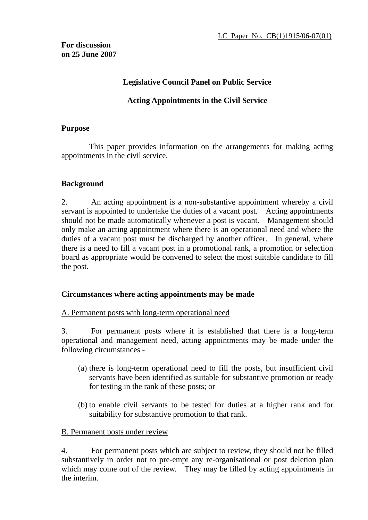## **Legislative Council Panel on Public Service**

# **Acting Appointments in the Civil Service**

#### **Purpose**

This paper provides information on the arrangements for making acting appointments in the civil service.

## **Background**

2. An acting appointment is a non-substantive appointment whereby a civil servant is appointed to undertake the duties of a vacant post. Acting appointments should not be made automatically whenever a post is vacant. Management should only make an acting appointment where there is an operational need and where the duties of a vacant post must be discharged by another officer. In general, where there is a need to fill a vacant post in a promotional rank, a promotion or selection board as appropriate would be convened to select the most suitable candidate to fill the post.

## **Circumstances where acting appointments may be made**

## A. Permanent posts with long-term operational need

3. For permanent posts where it is established that there is a long-term operational and management need, acting appointments may be made under the following circumstances -

- (a) there is long-term operational need to fill the posts, but insufficient civil servants have been identified as suitable for substantive promotion or ready for testing in the rank of these posts; or
- (b) to enable civil servants to be tested for duties at a higher rank and for suitability for substantive promotion to that rank.

## B. Permanent posts under review

4. For permanent posts which are subject to review, they should not be filled substantively in order not to pre-empt any re-organisational or post deletion plan which may come out of the review. They may be filled by acting appointments in the interim.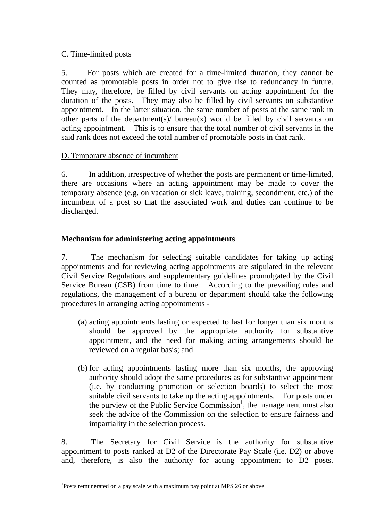## C. Time-limited posts

5. For posts which are created for a time-limited duration, they cannot be counted as promotable posts in order not to give rise to redundancy in future. They may, therefore, be filled by civil servants on acting appointment for the duration of the posts. They may also be filled by civil servants on substantive appointment. In the latter situation, the same number of posts at the same rank in other parts of the department(s)/ bureau(x) would be filled by civil servants on acting appointment. This is to ensure that the total number of civil servants in the said rank does not exceed the total number of promotable posts in that rank.

#### D. Temporary absence of incumbent

6. In addition, irrespective of whether the posts are permanent or time-limited, there are occasions where an acting appointment may be made to cover the temporary absence (e.g. on vacation or sick leave, training, secondment, etc.) of the incumbent of a post so that the associated work and duties can continue to be discharged.

## **Mechanism for administering acting appointments**

7. The mechanism for selecting suitable candidates for taking up acting appointments and for reviewing acting appointments are stipulated in the relevant Civil Service Regulations and supplementary guidelines promulgated by the Civil Service Bureau (CSB) from time to time. According to the prevailing rules and regulations, the management of a bureau or department should take the following procedures in arranging acting appointments -

- (a) acting appointments lasting or expected to last for longer than six months should be approved by the appropriate authority for substantive appointment, and the need for making acting arrangements should be reviewed on a regular basis; and
- (b) for acting appointments lasting more than six months, the approving authority should adopt the same procedures as for substantive appointment (i.e. by conducting promotion or selection boards) to select the most suitable civil servants to take up the acting appointments. For posts under the purview of the Public Service Commission<sup>1</sup>, the management must also seek the advice of the Commission on the selection to ensure fairness and impartiality in the selection process.

8. The Secretary for Civil Service is the authority for substantive appointment to posts ranked at D2 of the Directorate Pay Scale (i.e. D2) or above and, therefore, is also the authority for acting appointment to D2 posts.

 $\overline{a}$ 

<sup>&</sup>lt;sup>1</sup>Posts remunerated on a pay scale with a maximum pay point at MPS 26 or above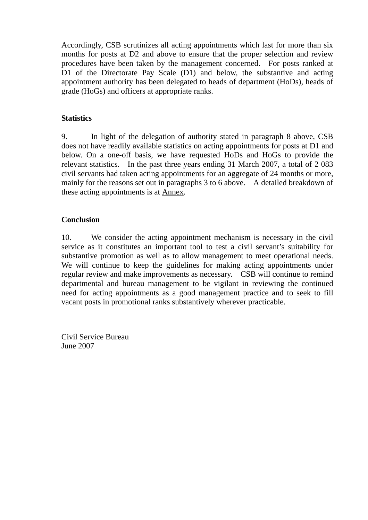Accordingly, CSB scrutinizes all acting appointments which last for more than six months for posts at D2 and above to ensure that the proper selection and review procedures have been taken by the management concerned. For posts ranked at D1 of the Directorate Pay Scale (D1) and below, the substantive and acting appointment authority has been delegated to heads of department (HoDs), heads of grade (HoGs) and officers at appropriate ranks.

# **Statistics**

9. In light of the delegation of authority stated in paragraph 8 above, CSB does not have readily available statistics on acting appointments for posts at D1 and below. On a one-off basis, we have requested HoDs and HoGs to provide the relevant statistics. In the past three years ending 31 March 2007, a total of 2 083 civil servants had taken acting appointments for an aggregate of 24 months or more, mainly for the reasons set out in paragraphs 3 to 6 above. A detailed breakdown of these acting appointments is at Annex.

## **Conclusion**

10. We consider the acting appointment mechanism is necessary in the civil service as it constitutes an important tool to test a civil servant's suitability for substantive promotion as well as to allow management to meet operational needs. We will continue to keep the guidelines for making acting appointments under regular review and make improvements as necessary. CSB will continue to remind departmental and bureau management to be vigilant in reviewing the continued need for acting appointments as a good management practice and to seek to fill vacant posts in promotional ranks substantively wherever practicable.

Civil Service Bureau June 2007